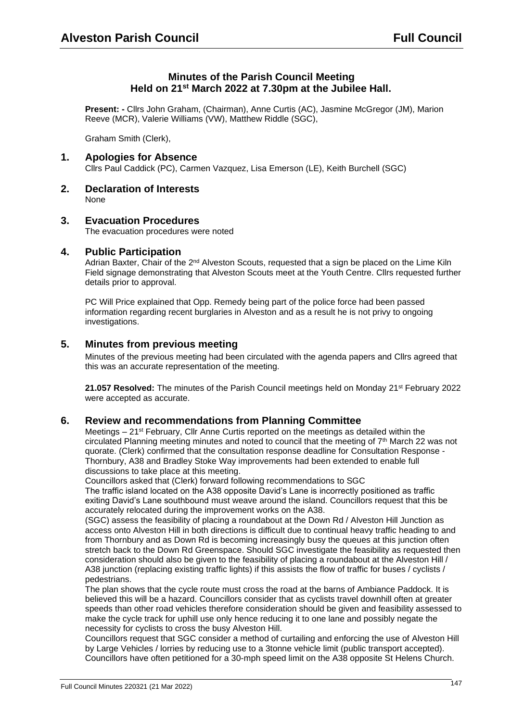# **Minutes of the Parish Council Meeting Held on 21st March 2022 at 7.30pm at the Jubilee Hall.**

**Present: -** Cllrs John Graham, (Chairman), Anne Curtis (AC), Jasmine McGregor (JM), Marion Reeve (MCR), Valerie Williams (VW), Matthew Riddle (SGC),

Graham Smith (Clerk),

## **1. Apologies for Absence**

Cllrs Paul Caddick (PC), Carmen Vazquez, Lisa Emerson (LE), Keith Burchell (SGC)

- **2. Declaration of Interests** None
- **3. Evacuation Procedures**

The evacuation procedures were noted

## **4. Public Participation**

Adrian Baxter, Chair of the 2<sup>nd</sup> Alveston Scouts, requested that a sign be placed on the Lime Kiln Field signage demonstrating that Alveston Scouts meet at the Youth Centre. Cllrs requested further details prior to approval.

PC Will Price explained that Opp. Remedy being part of the police force had been passed information regarding recent burglaries in Alveston and as a result he is not privy to ongoing investigations.

## **5. Minutes from previous meeting**

Minutes of the previous meeting had been circulated with the agenda papers and Cllrs agreed that this was an accurate representation of the meeting.

**21.057 Resolved:** The minutes of the Parish Council meetings held on Monday 21st February 2022 were accepted as accurate.

#### **6. Review and recommendations from Planning Committee**

Meetings – 21<sup>st</sup> February, Cllr Anne Curtis reported on the meetings as detailed within the circulated Planning meeting minutes and noted to council that the meeting of  $7<sup>th</sup>$  March 22 was not quorate. (Clerk) confirmed that the consultation response deadline for Consultation Response - Thornbury, A38 and Bradley Stoke Way improvements had been extended to enable full discussions to take place at this meeting.

Councillors asked that (Clerk) forward following recommendations to SGC

The traffic island located on the A38 opposite David's Lane is incorrectly positioned as traffic exiting David's Lane southbound must weave around the island. Councillors request that this be accurately relocated during the improvement works on the A38.

(SGC) assess the feasibility of placing a roundabout at the Down Rd / Alveston Hill Junction as access onto Alveston Hill in both directions is difficult due to continual heavy traffic heading to and from Thornbury and as Down Rd is becoming increasingly busy the queues at this junction often stretch back to the Down Rd Greenspace. Should SGC investigate the feasibility as requested then consideration should also be given to the feasibility of placing a roundabout at the Alveston Hill / A38 junction (replacing existing traffic lights) if this assists the flow of traffic for buses / cyclists / pedestrians.

The plan shows that the cycle route must cross the road at the barns of Ambiance Paddock. It is believed this will be a hazard. Councillors consider that as cyclists travel downhill often at greater speeds than other road vehicles therefore consideration should be given and feasibility assessed to make the cycle track for uphill use only hence reducing it to one lane and possibly negate the necessity for cyclists to cross the busy Alveston Hill.

Councillors request that SGC consider a method of curtailing and enforcing the use of Alveston Hill by Large Vehicles / lorries by reducing use to a 3tonne vehicle limit (public transport accepted). Councillors have often petitioned for a 30-mph speed limit on the A38 opposite St Helens Church.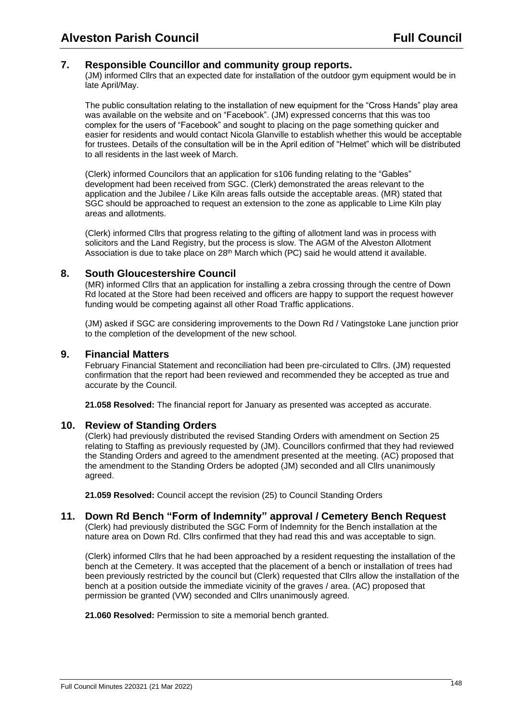## **7. Responsible Councillor and community group reports.**

(JM) informed Cllrs that an expected date for installation of the outdoor gym equipment would be in late April/May.

The public consultation relating to the installation of new equipment for the "Cross Hands" play area was available on the website and on "Facebook". (JM) expressed concerns that this was too complex for the users of "Facebook" and sought to placing on the page something quicker and easier for residents and would contact Nicola Glanville to establish whether this would be acceptable for trustees. Details of the consultation will be in the April edition of "Helmet" which will be distributed to all residents in the last week of March.

(Clerk) informed Councilors that an application for s106 funding relating to the "Gables" development had been received from SGC. (Clerk) demonstrated the areas relevant to the application and the Jubilee / Like Kiln areas falls outside the acceptable areas. (MR) stated that SGC should be approached to request an extension to the zone as applicable to Lime Kiln play areas and allotments.

(Clerk) informed Cllrs that progress relating to the gifting of allotment land was in process with solicitors and the Land Registry, but the process is slow. The AGM of the Alveston Allotment Association is due to take place on  $28<sup>th</sup>$  March which (PC) said he would attend it available.

## **8. South Gloucestershire Council**

(MR) informed Cllrs that an application for installing a zebra crossing through the centre of Down Rd located at the Store had been received and officers are happy to support the request however funding would be competing against all other Road Traffic applications.

(JM) asked if SGC are considering improvements to the Down Rd / Vatingstoke Lane junction prior to the completion of the development of the new school.

## **9. Financial Matters**

February Financial Statement and reconciliation had been pre-circulated to Cllrs. (JM) requested confirmation that the report had been reviewed and recommended they be accepted as true and accurate by the Council.

**21.058 Resolved:** The financial report for January as presented was accepted as accurate.

## **10. Review of Standing Orders**

(Clerk) had previously distributed the revised Standing Orders with amendment on Section 25 relating to Staffing as previously requested by (JM). Councillors confirmed that they had reviewed the Standing Orders and agreed to the amendment presented at the meeting. (AC) proposed that the amendment to the Standing Orders be adopted (JM) seconded and all Cllrs unanimously agreed.

**21.059 Resolved:** Council accept the revision (25) to Council Standing Orders

## **11. Down Rd Bench "Form of Indemnity" approval / Cemetery Bench Request**

(Clerk) had previously distributed the SGC Form of Indemnity for the Bench installation at the nature area on Down Rd. Cllrs confirmed that they had read this and was acceptable to sign.

(Clerk) informed Cllrs that he had been approached by a resident requesting the installation of the bench at the Cemetery. It was accepted that the placement of a bench or installation of trees had been previously restricted by the council but (Clerk) requested that Cllrs allow the installation of the bench at a position outside the immediate vicinity of the graves / area. (AC) proposed that permission be granted (VW) seconded and Cllrs unanimously agreed.

**21.060 Resolved:** Permission to site a memorial bench granted.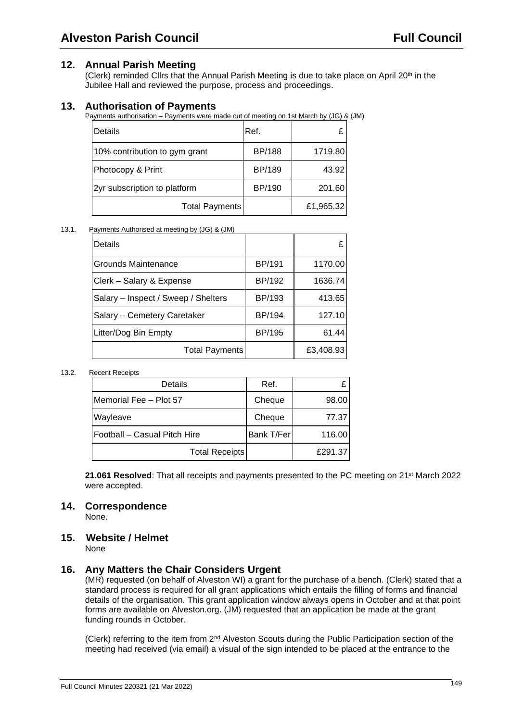## **12. Annual Parish Meeting**

(Clerk) reminded Cllrs that the Annual Parish Meeting is due to take place on April 20<sup>th</sup> in the Jubilee Hall and reviewed the purpose, process and proceedings.

## **13. Authorisation of Payments**

Payments authorisation – Payments were made out of meeting on 1st March by (JG) & (JM)

| <b>IDetails</b>               | Ref.          | £         |
|-------------------------------|---------------|-----------|
| 10% contribution to gym grant | <b>BP/188</b> | 1719.80   |
| Photocopy & Print             | <b>BP/189</b> | 43.92     |
| 2yr subscription to platform  | <b>BP/190</b> | 201.60    |
| Total Payments                |               | £1,965.32 |

#### 13.1. Payments Authorised at meeting by (JG) & (JM)

| Details                             |               |           |
|-------------------------------------|---------------|-----------|
| <b>Grounds Maintenance</b>          | <b>BP/191</b> | 1170.00   |
| Clerk - Salary & Expense            | BP/192        | 1636.74   |
| Salary - Inspect / Sweep / Shelters | <b>BP/193</b> | 413.65    |
| Salary - Cemetery Caretaker         | BP/194        | 127.10    |
| Litter/Dog Bin Empty                | <b>BP/195</b> | 61.44     |
| Total Payments                      |               | £3,408.93 |

#### 13.2. Recent Receipts

| Details                      | Ref.       |         |
|------------------------------|------------|---------|
| Memorial Fee - Plot 57       | Cheque     | 98.00   |
| Wayleave                     | Cheque     | 77.37   |
| Football – Casual Pitch Hire | Bank T/Fer | 116.00  |
| <b>Total Receipts</b>        |            | £291.37 |

**21.061 Resolved:** That all receipts and payments presented to the PC meeting on 21<sup>st</sup> March 2022 were accepted.

### **14. Correspondence**

None.

#### **15. Website / Helmet**

None

#### **16. Any Matters the Chair Considers Urgent**

(MR) requested (on behalf of Alveston WI) a grant for the purchase of a bench. (Clerk) stated that a standard process is required for all grant applications which entails the filling of forms and financial details of the organisation. This grant application window always opens in October and at that point forms are available on Alveston.org. (JM) requested that an application be made at the grant funding rounds in October.

(Clerk) referring to the item from 2nd Alveston Scouts during the Public Participation section of the meeting had received (via email) a visual of the sign intended to be placed at the entrance to the